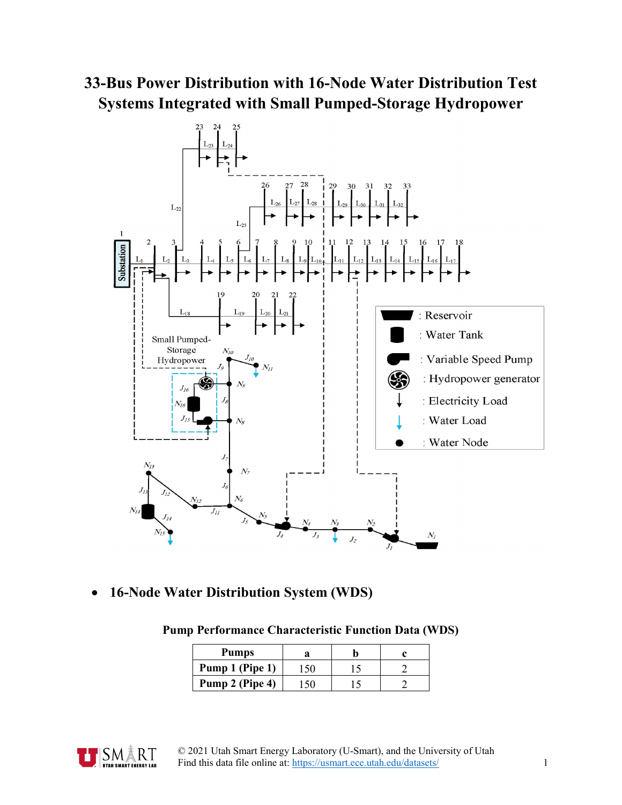# **33-Bus Power Distribution with 16-Node Water Distribution Test Systems Integrated with Small Pumped-Storage Hydropower**



• **16-Node Water Distribution System (WDS)**

|  |  | <b>Pump Performance Characteristic Function Data (WDS)</b> |  |  |  |
|--|--|------------------------------------------------------------|--|--|--|
|--|--|------------------------------------------------------------|--|--|--|

| <b>Pumps</b>    |  |  |
|-----------------|--|--|
| Pump 1 (Pipe 1) |  |  |
| Pump 2 (Pipe 4) |  |  |

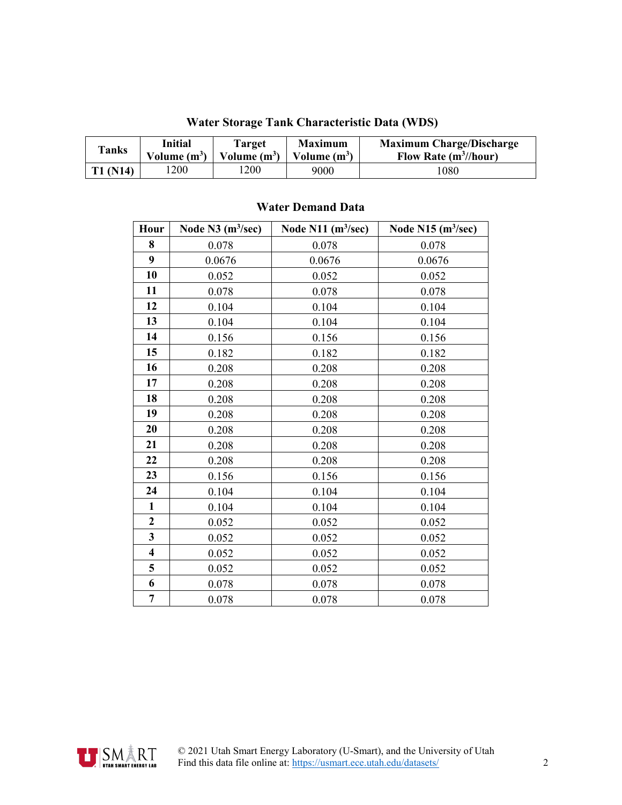| <b>Tanks</b> | Initial        | Target         | <b>Maximum</b> | <b>Maximum Charge/Discharge</b> |
|--------------|----------------|----------------|----------------|---------------------------------|
|              | Volume $(m^3)$ | Volume $(m^3)$ | Volume $(m^3)$ | Flow Rate $(m^3/$ hour)         |
| T1 (N14)     | l 200          | 1200           | 9000           | .080                            |

#### **Water Storage Tank Characteristic Data (WDS)**

#### **Water Demand Data**

| Hour                    | Node $N3$ (m <sup>3</sup> /sec) | Node N11 $(m^3/sec)$ | Node N15 $(m3/sec)$ |
|-------------------------|---------------------------------|----------------------|---------------------|
| 8                       | 0.078                           | 0.078                | 0.078               |
| $\boldsymbol{9}$        | 0.0676                          | 0.0676               | 0.0676              |
| 10                      | 0.052                           | 0.052                | 0.052               |
| 11                      | 0.078                           | 0.078                | 0.078               |
| 12                      | 0.104                           | 0.104                | 0.104               |
| 13                      | 0.104                           | 0.104                | 0.104               |
| 14                      | 0.156                           | 0.156                | 0.156               |
| 15                      | 0.182                           | 0.182                | 0.182               |
| 16                      | 0.208                           | 0.208                | 0.208               |
| 17                      | 0.208                           | 0.208                | 0.208               |
| 18                      | 0.208                           | 0.208                | 0.208               |
| 19                      | 0.208                           | 0.208                | 0.208               |
| 20                      | 0.208                           | 0.208                | 0.208               |
| 21                      | 0.208                           | 0.208                | 0.208               |
| 22                      | 0.208                           | 0.208                | 0.208               |
| 23                      | 0.156                           | 0.156                | 0.156               |
| 24                      | 0.104                           | 0.104                | 0.104               |
| $\mathbf{1}$            | 0.104                           | 0.104                | 0.104               |
| $\overline{2}$          | 0.052                           | 0.052                | 0.052               |
| $\overline{\mathbf{3}}$ | 0.052                           | 0.052                | 0.052               |
| $\overline{\mathbf{4}}$ | 0.052                           | 0.052                | 0.052               |
| 5                       | 0.052                           | 0.052                | 0.052               |
| 6                       | 0.078                           | 0.078                | 0.078               |
| $\overline{7}$          | 0.078                           | 0.078                | 0.078               |

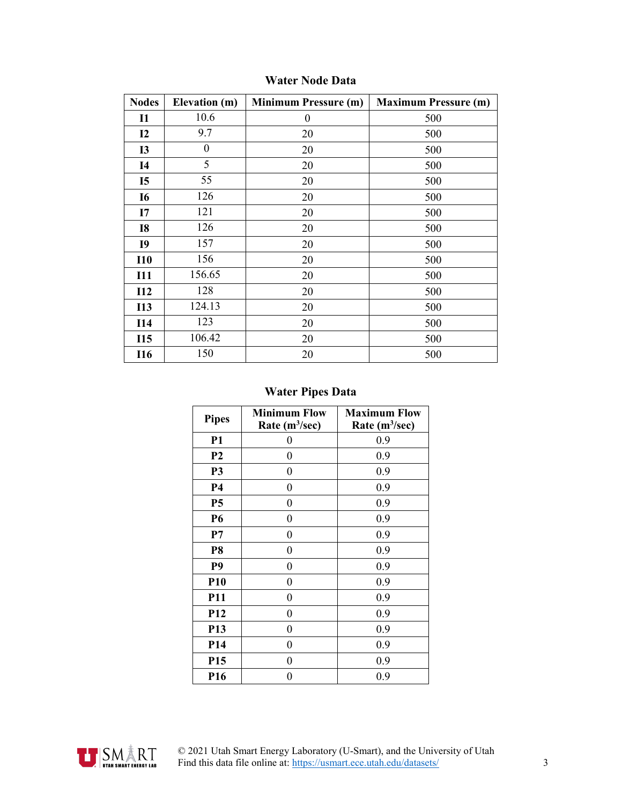| <b>Nodes</b> | Elevation (m)    | <b>Minimum Pressure (m)</b> | <b>Maximum Pressure (m)</b> |
|--------------|------------------|-----------------------------|-----------------------------|
| $\mathbf{I}$ | 10.6             | $\boldsymbol{0}$            | 500                         |
| 12           | 9.7              | 20                          | 500                         |
| <b>I3</b>    | $\boldsymbol{0}$ | 20                          | 500                         |
| <b>I4</b>    | 5                | 20                          | 500                         |
| <b>I5</b>    | 55               | 20                          | 500                         |
| <b>I6</b>    | 126              | 20                          | 500                         |
| I7           | 121              | 20                          | 500                         |
| <b>I8</b>    | 126              | 20                          | 500                         |
| <b>I9</b>    | 157              | 20                          | 500                         |
| <b>I10</b>   | 156              | 20                          | 500                         |
| <b>I11</b>   | 156.65           | 20                          | 500                         |
| I12          | 128              | 20                          | 500                         |
| <b>I13</b>   | 124.13           | 20                          | 500                         |
| <b>I14</b>   | 123              | 20                          | 500                         |
| <b>I15</b>   | 106.42           | 20                          | 500                         |
| <b>I16</b>   | 150              | 20                          | 500                         |

## **Water Node Data**

## **Water Pipes Data**

| <b>Pipes</b>    | <b>Minimum Flow</b><br>Rate $(m^3/sec)$ | <b>Maximum Flow</b><br>Rate $(m^3/sec)$ |
|-----------------|-----------------------------------------|-----------------------------------------|
| <b>P1</b>       | 0                                       | 0.9                                     |
| P <sub>2</sub>  | 0                                       | 0.9                                     |
| P <sub>3</sub>  | 0                                       | 0.9                                     |
| <b>P4</b>       | $\boldsymbol{0}$                        | 0.9                                     |
| <b>P5</b>       | 0                                       | 0.9                                     |
| <b>P6</b>       | 0                                       | 0.9                                     |
| P7              | 0                                       | 0.9                                     |
| P <sub>8</sub>  | $\boldsymbol{0}$                        | 0.9                                     |
| P <sub>9</sub>  | 0                                       | 0.9                                     |
| <b>P10</b>      | 0                                       | 0.9                                     |
| <b>P11</b>      | 0                                       | 0.9                                     |
| <b>P12</b>      | $\boldsymbol{0}$                        | 0.9                                     |
| P <sub>13</sub> | 0                                       | 0.9                                     |
| P <sub>14</sub> | 0                                       | 0.9                                     |
| P <sub>15</sub> | 0                                       | 0.9                                     |
| P <sub>16</sub> | 0                                       | 0.9                                     |

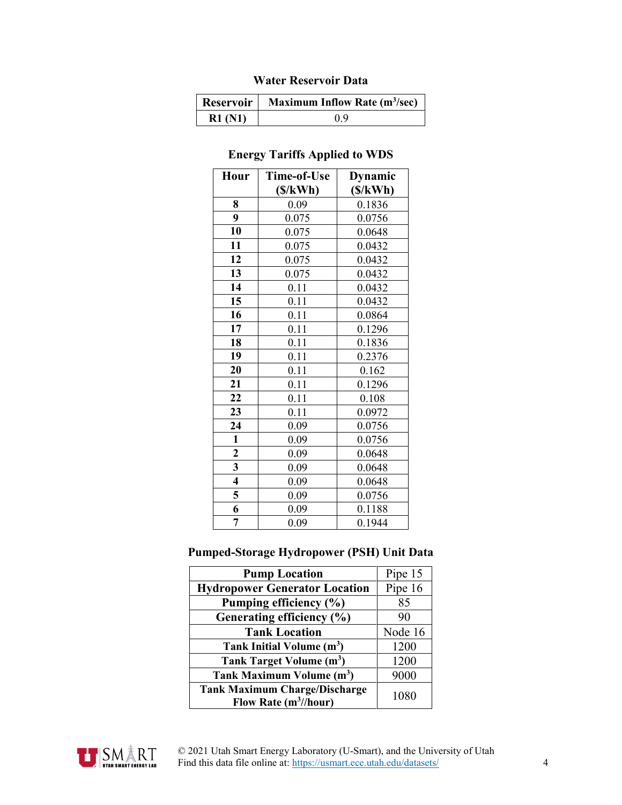## **Water Reservoir Data**

|        | <b>Reservoir   Maximum Inflow Rate (m<sup>3</sup>/sec)</b> |
|--------|------------------------------------------------------------|
| R1(N1) | 09                                                         |

## **Energy Tariffs Applied to WDS**

| Hour                    | Time-of-Use | <b>Dynamic</b> |
|-------------------------|-------------|----------------|
|                         | (S/kWh)     | (S/kWh)        |
| 8                       | 0.09        | 0.1836         |
| 9                       | 0.075       | 0.0756         |
| 10                      | 0.075       | 0.0648         |
| 11                      | 0.075       | 0.0432         |
| 12                      | 0.075       | 0.0432         |
| 13                      | 0.075       | 0.0432         |
| 14                      | 0.11        | 0.0432         |
| 15                      | 0.11        | 0.0432         |
| 16                      | 0.11        | 0.0864         |
| 17                      | 0.11        | 0.1296         |
| 18                      | 0.11        | 0.1836         |
| 19                      | 0.11        | 0.2376         |
| 20                      | 0.11        | 0.162          |
| 21                      | 0.11        | 0.1296         |
| 22                      | 0.11        | 0.108          |
| 23                      | 0.11        | 0.0972         |
| 24                      | 0.09        | 0.0756         |
| $\mathbf{1}$            | 0.09        | 0.0756         |
| $\overline{\mathbf{c}}$ | 0.09        | 0.0648         |
| 3                       | 0.09        | 0.0648         |
| 4                       | 0.09        | 0.0648         |
| 5                       | 0.09        | 0.0756         |
| 6                       | 0.09        | 0.1188         |
| 7                       | 0.09        | 0.1944         |

#### **Pumped-Storage Hydropower (PSH) Unit Data**

| <b>Pump Location</b>                                                      | Pipe 15 |
|---------------------------------------------------------------------------|---------|
| <b>Hydropower Generator Location</b>                                      | Pipe 16 |
| Pumping efficiency (%)                                                    | 85      |
| Generating efficiency (%)                                                 | 90      |
| <b>Tank Location</b>                                                      | Node 16 |
| Tank Initial Volume (m <sup>3</sup> )                                     | 1200    |
| Tank Target Volume (m <sup>3</sup> )                                      | 1200    |
| Tank Maximum Volume (m <sup>3</sup> )                                     | 9000    |
| <b>Tank Maximum Charge/Discharge</b><br>Flow Rate (m <sup>3</sup> //hour) | 1080    |

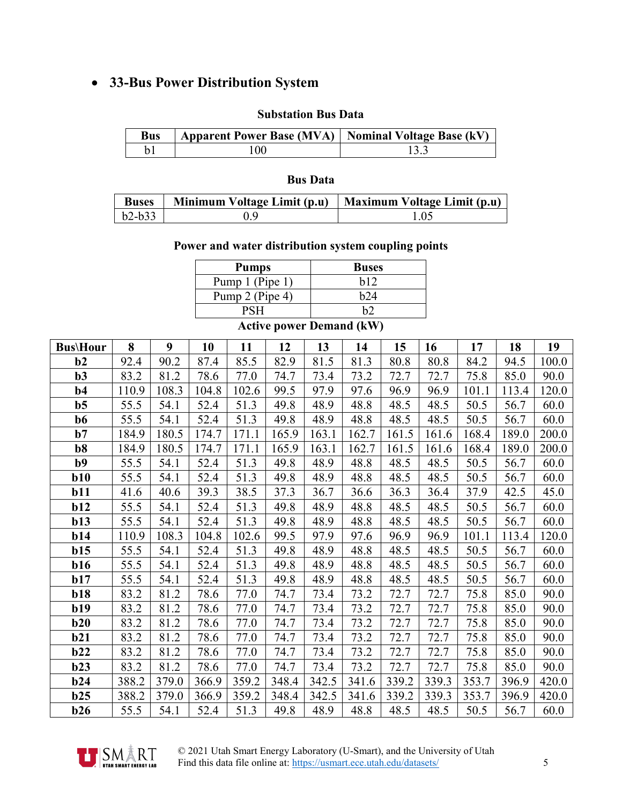## • **33-Bus Power Distribution System**

#### **Substation Bus Data**

| Bus | Apparent Power Base (MVA)   Nominal Voltage Base (kV) |  |
|-----|-------------------------------------------------------|--|
|     | 100                                                   |  |

#### **Bus Data**

| <b>Buses</b>  | Minimum Voltage Limit (p.u)   Maximum Voltage Limit (p.u) |  |
|---------------|-----------------------------------------------------------|--|
| $\mid$ b2-b33 |                                                           |  |

#### **Power and water distribution system coupling points**

| <b>Pumps</b>    | <b>Buses</b>                                     |
|-----------------|--------------------------------------------------|
| Pump 1 (Pipe 1) | h12                                              |
| Pump 2 (Pipe 4) | h74                                              |
| PSH             | h٦                                               |
| $\cdot$ $\cdot$ | $\overline{\phantom{a}}$<br>$\sim$ $\sim$ $\sim$ |

#### **Active power Demand (kW)**

| <b>Bus\Hour</b> | 8     | 9     | 10    | 11    | 12    | 13    | 14    | 15    | 16    | 17    | 18    | 19    |
|-----------------|-------|-------|-------|-------|-------|-------|-------|-------|-------|-------|-------|-------|
| b2              | 92.4  | 90.2  | 87.4  | 85.5  | 82.9  | 81.5  | 81.3  | 80.8  | 80.8  | 84.2  | 94.5  | 100.0 |
| $b3$            | 83.2  | 81.2  | 78.6  | 77.0  | 74.7  | 73.4  | 73.2  | 72.7  | 72.7  | 75.8  | 85.0  | 90.0  |
| $b4$            | 110.9 | 108.3 | 104.8 | 102.6 | 99.5  | 97.9  | 97.6  | 96.9  | 96.9  | 101.1 | 113.4 | 120.0 |
| $b5$            | 55.5  | 54.1  | 52.4  | 51.3  | 49.8  | 48.9  | 48.8  | 48.5  | 48.5  | 50.5  | 56.7  | 60.0  |
| b6              | 55.5  | 54.1  | 52.4  | 51.3  | 49.8  | 48.9  | 48.8  | 48.5  | 48.5  | 50.5  | 56.7  | 60.0  |
| b7              | 184.9 | 180.5 | 174.7 | 171.1 | 165.9 | 163.1 | 162.7 | 161.5 | 161.6 | 168.4 | 189.0 | 200.0 |
| b <sub>8</sub>  | 184.9 | 180.5 | 174.7 | 171.1 | 165.9 | 163.1 | 162.7 | 161.5 | 161.6 | 168.4 | 189.0 | 200.0 |
| b9              | 55.5  | 54.1  | 52.4  | 51.3  | 49.8  | 48.9  | 48.8  | 48.5  | 48.5  | 50.5  | 56.7  | 60.0  |
| b10             | 55.5  | 54.1  | 52.4  | 51.3  | 49.8  | 48.9  | 48.8  | 48.5  | 48.5  | 50.5  | 56.7  | 60.0  |
| <b>b11</b>      | 41.6  | 40.6  | 39.3  | 38.5  | 37.3  | 36.7  | 36.6  | 36.3  | 36.4  | 37.9  | 42.5  | 45.0  |
| b12             | 55.5  | 54.1  | 52.4  | 51.3  | 49.8  | 48.9  | 48.8  | 48.5  | 48.5  | 50.5  | 56.7  | 60.0  |
| b13             | 55.5  | 54.1  | 52.4  | 51.3  | 49.8  | 48.9  | 48.8  | 48.5  | 48.5  | 50.5  | 56.7  | 60.0  |
| b14             | 110.9 | 108.3 | 104.8 | 102.6 | 99.5  | 97.9  | 97.6  | 96.9  | 96.9  | 101.1 | 113.4 | 120.0 |
| b15             | 55.5  | 54.1  | 52.4  | 51.3  | 49.8  | 48.9  | 48.8  | 48.5  | 48.5  | 50.5  | 56.7  | 60.0  |
| <b>b16</b>      | 55.5  | 54.1  | 52.4  | 51.3  | 49.8  | 48.9  | 48.8  | 48.5  | 48.5  | 50.5  | 56.7  | 60.0  |
| b17             | 55.5  | 54.1  | 52.4  | 51.3  | 49.8  | 48.9  | 48.8  | 48.5  | 48.5  | 50.5  | 56.7  | 60.0  |
| <b>b18</b>      | 83.2  | 81.2  | 78.6  | 77.0  | 74.7  | 73.4  | 73.2  | 72.7  | 72.7  | 75.8  | 85.0  | 90.0  |
| b19             | 83.2  | 81.2  | 78.6  | 77.0  | 74.7  | 73.4  | 73.2  | 72.7  | 72.7  | 75.8  | 85.0  | 90.0  |
| b20             | 83.2  | 81.2  | 78.6  | 77.0  | 74.7  | 73.4  | 73.2  | 72.7  | 72.7  | 75.8  | 85.0  | 90.0  |
| b21             | 83.2  | 81.2  | 78.6  | 77.0  | 74.7  | 73.4  | 73.2  | 72.7  | 72.7  | 75.8  | 85.0  | 90.0  |
| b22             | 83.2  | 81.2  | 78.6  | 77.0  | 74.7  | 73.4  | 73.2  | 72.7  | 72.7  | 75.8  | 85.0  | 90.0  |
| b23             | 83.2  | 81.2  | 78.6  | 77.0  | 74.7  | 73.4  | 73.2  | 72.7  | 72.7  | 75.8  | 85.0  | 90.0  |
| b24             | 388.2 | 379.0 | 366.9 | 359.2 | 348.4 | 342.5 | 341.6 | 339.2 | 339.3 | 353.7 | 396.9 | 420.0 |
| b25             | 388.2 | 379.0 | 366.9 | 359.2 | 348.4 | 342.5 | 341.6 | 339.2 | 339.3 | 353.7 | 396.9 | 420.0 |
| b26             | 55.5  | 54.1  | 52.4  | 51.3  | 49.8  | 48.9  | 48.8  | 48.5  | 48.5  | 50.5  | 56.7  | 60.0  |



 © 2021 Utah Smart Energy Laboratory (U-Smart), and the University of Utah Find this data file online at[: https://usmart.ece.utah.edu/datasets/](https://usmart.ece.utah.edu/datasets/) 5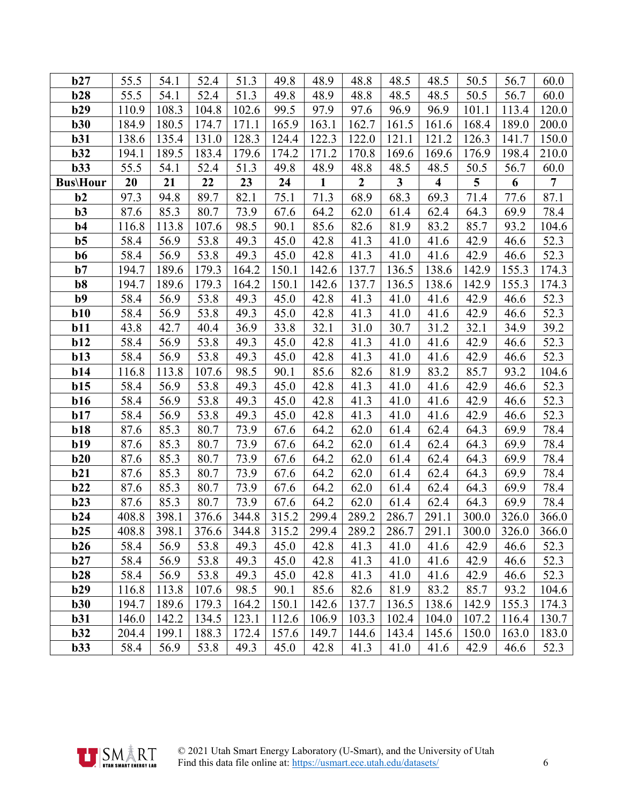| b27             | 55.5  | 54.1  | 52.4  | 51.3  | 49.8  | 48.9  | 48.8             | 48.5         | 48.5                    | 50.5  | 56.7  | 60.0  |
|-----------------|-------|-------|-------|-------|-------|-------|------------------|--------------|-------------------------|-------|-------|-------|
| b28             | 55.5  | 54.1  | 52.4  | 51.3  | 49.8  | 48.9  | 48.8             | 48.5         | 48.5                    | 50.5  | 56.7  | 60.0  |
| b29             | 110.9 | 108.3 | 104.8 | 102.6 | 99.5  | 97.9  | 97.6             | 96.9         | 96.9                    | 101.1 | 113.4 | 120.0 |
| b30             | 184.9 | 180.5 | 174.7 | 171.1 | 165.9 | 163.1 | 162.7            | 161.5        | 161.6                   | 168.4 | 189.0 | 200.0 |
| b31             | 138.6 | 135.4 | 131.0 | 128.3 | 124.4 | 122.3 | 122.0            | 121.1        | 121.2                   | 126.3 | 141.7 | 150.0 |
| b32             | 194.1 | 189.5 | 183.4 | 179.6 | 174.2 | 171.2 | 170.8            | 169.6        | 169.6                   | 176.9 | 198.4 | 210.0 |
| b33             | 55.5  | 54.1  | 52.4  | 51.3  | 49.8  | 48.9  | 48.8             | 48.5         | 48.5                    | 50.5  | 56.7  | 60.0  |
| <b>Bus\Hour</b> | 20    | 21    | 22    | 23    | 24    | 1     | $\boldsymbol{2}$ | $\mathbf{3}$ | $\overline{\mathbf{4}}$ | 5     | 6     | 7     |
| b2              | 97.3  | 94.8  | 89.7  | 82.1  | 75.1  | 71.3  | 68.9             | 68.3         | 69.3                    | 71.4  | 77.6  | 87.1  |
| $b3$            | 87.6  | 85.3  | 80.7  | 73.9  | 67.6  | 64.2  | 62.0             | 61.4         | 62.4                    | 64.3  | 69.9  | 78.4  |
| $b4$            | 116.8 | 113.8 | 107.6 | 98.5  | 90.1  | 85.6  | 82.6             | 81.9         | 83.2                    | 85.7  | 93.2  | 104.6 |
| b <sub>5</sub>  | 58.4  | 56.9  | 53.8  | 49.3  | 45.0  | 42.8  | 41.3             | 41.0         | 41.6                    | 42.9  | 46.6  | 52.3  |
| b6              | 58.4  | 56.9  | 53.8  | 49.3  | 45.0  | 42.8  | 41.3             | 41.0         | 41.6                    | 42.9  | 46.6  | 52.3  |
| $b7$            | 194.7 | 189.6 | 179.3 | 164.2 | 150.1 | 142.6 | 137.7            | 136.5        | 138.6                   | 142.9 | 155.3 | 174.3 |
| b8              | 194.7 | 189.6 | 179.3 | 164.2 | 150.1 | 142.6 | 137.7            | 136.5        | 138.6                   | 142.9 | 155.3 | 174.3 |
| b9              | 58.4  | 56.9  | 53.8  | 49.3  | 45.0  | 42.8  | 41.3             | 41.0         | 41.6                    | 42.9  | 46.6  | 52.3  |
| b10             | 58.4  | 56.9  | 53.8  | 49.3  | 45.0  | 42.8  | 41.3             | 41.0         | 41.6                    | 42.9  | 46.6  | 52.3  |
| b11             | 43.8  | 42.7  | 40.4  | 36.9  | 33.8  | 32.1  | 31.0             | 30.7         | 31.2                    | 32.1  | 34.9  | 39.2  |
| b12             | 58.4  | 56.9  | 53.8  | 49.3  | 45.0  | 42.8  | 41.3             | 41.0         | 41.6                    | 42.9  | 46.6  | 52.3  |
| b13             | 58.4  | 56.9  | 53.8  | 49.3  | 45.0  | 42.8  | 41.3             | 41.0         | 41.6                    | 42.9  | 46.6  | 52.3  |
| b14             | 116.8 | 113.8 | 107.6 | 98.5  | 90.1  | 85.6  | 82.6             | 81.9         | 83.2                    | 85.7  | 93.2  | 104.6 |
| b15             | 58.4  | 56.9  | 53.8  | 49.3  | 45.0  | 42.8  | 41.3             | 41.0         | 41.6                    | 42.9  | 46.6  | 52.3  |
| b16             | 58.4  | 56.9  | 53.8  | 49.3  | 45.0  | 42.8  | 41.3             | 41.0         | 41.6                    | 42.9  | 46.6  | 52.3  |
| b17             | 58.4  | 56.9  | 53.8  | 49.3  | 45.0  | 42.8  | 41.3             | 41.0         | 41.6                    | 42.9  | 46.6  | 52.3  |
| b18             | 87.6  | 85.3  | 80.7  | 73.9  | 67.6  | 64.2  | 62.0             | 61.4         | 62.4                    | 64.3  | 69.9  | 78.4  |
| b19             | 87.6  | 85.3  | 80.7  | 73.9  | 67.6  | 64.2  | 62.0             | 61.4         | 62.4                    | 64.3  | 69.9  | 78.4  |
| b20             | 87.6  | 85.3  | 80.7  | 73.9  | 67.6  | 64.2  | 62.0             | 61.4         | 62.4                    | 64.3  | 69.9  | 78.4  |
| b21             | 87.6  | 85.3  | 80.7  | 73.9  | 67.6  | 64.2  | 62.0             | 61.4         | 62.4                    | 64.3  | 69.9  | 78.4  |
| b22             | 87.6  | 85.3  | 80.7  | 73.9  | 67.6  | 64.2  | 62.0             | 61.4         | 62.4                    | 64.3  | 69.9  | 78.4  |
| b23             | 87.6  | 85.3  | 80.7  | 73.9  | 67.6  | 64.2  | 62.0             | 61.4         | 62.4                    | 64.3  | 69.9  | 78.4  |
| b24             | 408.8 | 398.1 | 376.6 | 344.8 | 315.2 | 299.4 | 289.2            | 286.7        | 291.1                   | 300.0 | 326.0 | 366.0 |
| b25             | 408.8 | 398.1 | 376.6 | 344.8 | 315.2 | 299.4 | 289.2            | 286.7        | 291.1                   | 300.0 | 326.0 | 366.0 |
| b26             | 58.4  | 56.9  | 53.8  | 49.3  | 45.0  | 42.8  | 41.3             | 41.0         | 41.6                    | 42.9  | 46.6  | 52.3  |
| b27             | 58.4  | 56.9  | 53.8  | 49.3  | 45.0  | 42.8  | 41.3             | 41.0         | 41.6                    | 42.9  | 46.6  | 52.3  |
| b28             | 58.4  | 56.9  | 53.8  | 49.3  | 45.0  | 42.8  | 41.3             | 41.0         | 41.6                    | 42.9  | 46.6  | 52.3  |
| b29             | 116.8 | 113.8 | 107.6 | 98.5  | 90.1  | 85.6  | 82.6             | 81.9         | 83.2                    | 85.7  | 93.2  | 104.6 |
| b30             | 194.7 | 189.6 | 179.3 | 164.2 | 150.1 | 142.6 | 137.7            | 136.5        | 138.6                   | 142.9 | 155.3 | 174.3 |
| b31             | 146.0 | 142.2 | 134.5 | 123.1 | 112.6 | 106.9 | 103.3            | 102.4        | 104.0                   | 107.2 | 116.4 | 130.7 |
| b32             | 204.4 | 199.1 | 188.3 | 172.4 | 157.6 | 149.7 | 144.6            | 143.4        | 145.6                   | 150.0 | 163.0 | 183.0 |
| b33             | 58.4  | 56.9  | 53.8  | 49.3  | 45.0  | 42.8  | 41.3             | 41.0         | 41.6                    | 42.9  | 46.6  | 52.3  |

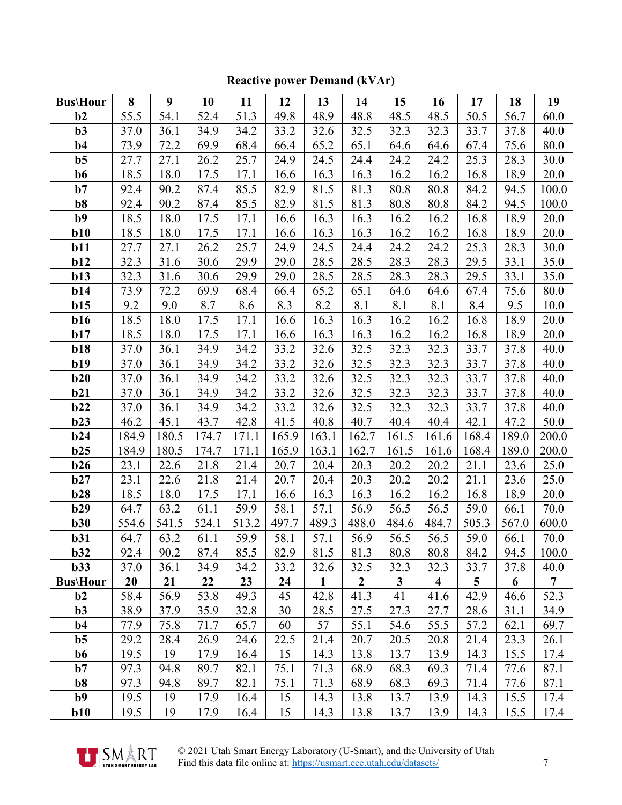#### **Bus\Hour 8 9 10 11 12 13 14 15 16 17 18 19 b2** 55.5 54.1 52.4 51.3 49.8 48.9 48.8 48.5 48.5 50.5 56.7 60.0 **b3** 37.0 36.1 34.9 34.2 33.2 32.6 32.5 32.3 32.3 33.7 37.8 40.0 **b4** 73.9 72.2 69.9 68.4 66.4 65.2 65.1 64.6 64.6 67.4 75.6 80.0 **b5** 27.7 27.1 26.2 25.7 24.9 24.5 24.4 24.2 24.2 25.3 28.3 30.0 **b6** 18.5 18.0 17.5 17.1 16.6 16.3 16.3 16.2 16.2 16.8 18.9 20.0 **b7** 92.4 90.2 87.4 85.5 82.9 81.5 81.3 80.8 80.8 84.2 94.5 100.0 **b8** 92.4 90.2 87.4 85.5 82.9 81.5 81.3 80.8 80.8 84.2 94.5 100.0 **b9** 18.5 | 18.0 | 17.5 | 17.1 | 16.6 | 16.3 | 16.3 | 16.2 | 16.2 | 16.8 | 18.9 | 20.0 **b10** | 18.5 | 18.0 | 17.5 | 17.1 | 16.6 | 16.3 | 16.3 | 16.2 | 16.2 | 16.8 | 18.9 | 20.0 **b11** 27.7 27.1 26.2 25.7 24.9 24.5 24.4 24.2 24.2 25.3 28.3 30.0 **b12** 32.3 31.6 30.6 29.9 29.0 28.5 28.5 28.3 28.3 29.5 33.1 35.0 **b13** 32.3 31.6 30.6 29.9 29.0 28.5 28.5 28.3 28.3 29.5 33.1 35.0 **b14** 73.9 72.2 69.9 68.4 66.4 65.2 65.1 64.6 64.6 67.4 75.6 80.0 **b15** | 9.2 | 9.0 | 8.7 | 8.6 | 8.3 | 8.2 | 8.1 | 8.1 | 8.1 | 8.4 | 9.5 | 10.0 **b16** | 18.5 | 18.0 | 17.5 | 17.1 | 16.6 | 16.3 | 16.3 | 16.2 | 16.2 | 16.8 | 18.9 | 20.0 **b17** | 18.5 | 18.0 | 17.5 | 17.1 | 16.6 | 16.3 | 16.3 | 16.2 | 16.2 | 16.8 | 18.9 | 20.0 **b18** | 37.0 | 36.1 | 34.9 | 34.2 | 33.2 | 32.6 | 32.5 | 32.3 | 32.3 | 33.7 | 37.8 | 40.0 **b19** 37.0 36.1 34.9 34.2 33.2 32.6 32.5 32.3 32.3 33.7 37.8 40.0 **b20** | 37.0 | 36.1 | 34.9 | 34.2 | 33.2 | 32.6 | 32.5 | 32.3 | 32.3 | 33.7 | 37.8 | 40.0 **b21** 37.0 36.1 34.9 34.2 33.2 32.6 32.5 32.3 32.3 33.7 37.8 40.0 **b22** | 37.0 | 36.1 | 34.9 | 34.2 | 33.2 | 32.6 | 32.5 | 32.3 | 32.3 | 33.7 | 37.8 | 40.0 **b23** 46.2 45.1 43.7 42.8 41.5 40.8 40.7 40.4 40.4 42.1 47.2 50.0 **b24** | 184.9 | 180.5 | 174.7 | 171.1 | 165.9 | 163.1 | 162.7 | 161.5 | 161.6 | 168.4 | 189.0 | 200.0 **b25** 184.9 | 180.5 | 174.7 | 171.1 | 165.9 | 163.1 | 162.7 | 161.5 | 161.6 | 168.4 | 189.0 | 200.0 **b26** 23.1 22.6 21.8 21.4 20.7 20.4 20.3 20.2 20.2 21.1 23.6 25.0 **b27** 23.1 22.6 21.8 21.4 20.7 20.4 20.3 20.2 20.2 21.1 23.6 25.0 **b28** | 18.5 | 18.0 | 17.5 | 17.1 | 16.6 | 16.3 | 16.3 | 16.2 | 16.2 | 16.8 | 18.9 | 20.0 **b29**  $\begin{bmatrix} 64.7 & 63.2 & 61.1 & 59.9 & 58.1 & 57.1 & 56.9 & 56.5 & 56.5 & 59.0 & 66.1 & 70.0 \end{bmatrix}$ **b30** 554.6 541.5 524.1 513.2 497.7 489.3 488.0 484.6 484.7 505.3 567.0 600.0 **b31**  $\begin{bmatrix} 64.7 & 63.2 & 61.1 & 59.9 & 58.1 & 57.1 & 56.9 & 56.5 & 56.5 & 59.0 & 66.1 & 70.0 \end{bmatrix}$ **b32** 92.4 90.2 87.4 85.5 82.9 81.5 81.3 80.8 80.8 84.2 94.5 100.0 **b33** 37.0 36.1 34.9 34.2 33.2 32.6 32.5 32.3 32.3 33.7 37.8 40.0 **Bus\Hour 20 21 22 23 24 1 2 3 4 5 6 7 b2** 58.4 56.9 53.8 49.3 45 42.8 41.3 41 41.6 42.9 46.6 52.3 **b3** 38.9 37.9 35.9 32.8 30 28.5 27.5 27.3 27.7 28.6 31.1 34.9 **b4** 77.9 75.8 71.7 65.7 60 57 55.1 54.6 55.5 57.2 62.1 69.7 **b5** 29.2 28.4 26.9 24.6 22.5 21.4 20.7 20.5 20.8 21.4 23.3 26.1 **b6** | 19.5 | 19 | 17.9 | 16.4 | 15 | 14.3 | 13.8 | 13.7 | 13.9 | 14.3 | 15.5 | 17.4 **b7** 97.3 94.8 89.7 82.1 75.1 71.3 68.9 68.3 69.3 71.4 77.6 87.1 **b8** 97.3 94.8 89.7 82.1 75.1 71.3 68.9 68.3 69.3 71.4 77.6 87.1 **b9** 19.5 19 17.9 16.4 15 14.3 13.8 13.7 13.9 14.3 15.5 17.4 **b10** | 19.5 | 19 | 17.9 | 16.4 | 15 | 14.3 | 13.8 | 13.7 | 13.9 | 14.3 | 15.5 | 17.4

#### **Reactive power Demand (kVAr)**



 © 2021 Utah Smart Energy Laboratory (U-Smart), and the University of Utah Find this data file online at[: https://usmart.ece.utah.edu/datasets/](https://usmart.ece.utah.edu/datasets/) 7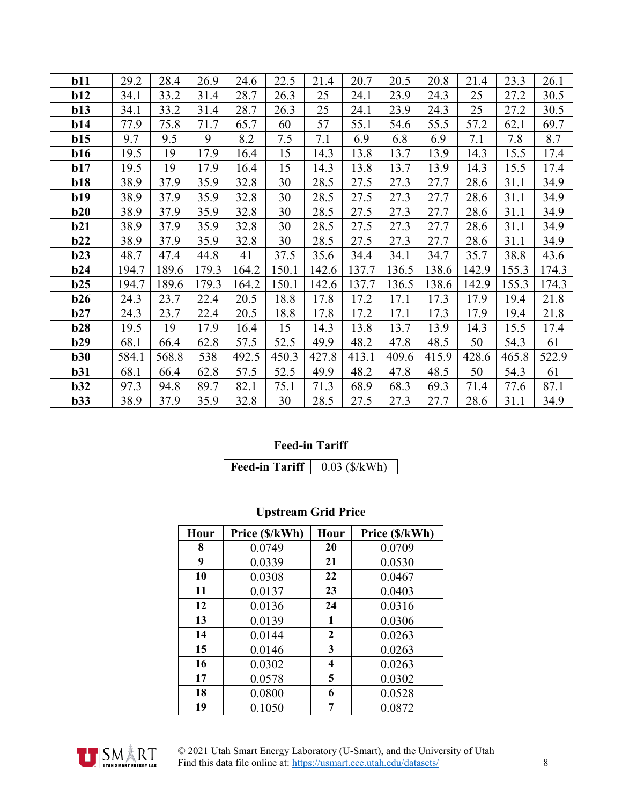| b11        | 29.2  | 28.4  | 26.9  | 24.6  | 22.5  | 21.4  | 20.7  | 20.5  | 20.8  | 21.4  | 23.3  | 26.1  |
|------------|-------|-------|-------|-------|-------|-------|-------|-------|-------|-------|-------|-------|
| b12        | 34.1  | 33.2  | 31.4  | 28.7  | 26.3  | 25    | 24.1  | 23.9  | 24.3  | 25    | 27.2  | 30.5  |
| b13        | 34.1  | 33.2  | 31.4  | 28.7  | 26.3  | 25    | 24.1  | 23.9  | 24.3  | 25    | 27.2  | 30.5  |
| b14        | 77.9  | 75.8  | 71.7  | 65.7  | 60    | 57    | 55.1  | 54.6  | 55.5  | 57.2  | 62.1  | 69.7  |
| b15        | 9.7   | 9.5   | 9     | 8.2   | 7.5   | 7.1   | 6.9   | 6.8   | 6.9   | 7.1   | 7.8   | 8.7   |
| b16        | 19.5  | 19    | 17.9  | 16.4  | 15    | 14.3  | 13.8  | 13.7  | 13.9  | 14.3  | 15.5  | 17.4  |
| b17        | 19.5  | 19    | 17.9  | 16.4  | 15    | 14.3  | 13.8  | 13.7  | 13.9  | 14.3  | 15.5  | 17.4  |
| <b>b18</b> | 38.9  | 37.9  | 35.9  | 32.8  | 30    | 28.5  | 27.5  | 27.3  | 27.7  | 28.6  | 31.1  | 34.9  |
| b19        | 38.9  | 37.9  | 35.9  | 32.8  | 30    | 28.5  | 27.5  | 27.3  | 27.7  | 28.6  | 31.1  | 34.9  |
| b20        | 38.9  | 37.9  | 35.9  | 32.8  | 30    | 28.5  | 27.5  | 27.3  | 27.7  | 28.6  | 31.1  | 34.9  |
| b21        | 38.9  | 37.9  | 35.9  | 32.8  | 30    | 28.5  | 27.5  | 27.3  | 27.7  | 28.6  | 31.1  | 34.9  |
| b22        | 38.9  | 37.9  | 35.9  | 32.8  | 30    | 28.5  | 27.5  | 27.3  | 27.7  | 28.6  | 31.1  | 34.9  |
| b23        | 48.7  | 47.4  | 44.8  | 41    | 37.5  | 35.6  | 34.4  | 34.1  | 34.7  | 35.7  | 38.8  | 43.6  |
| b24        | 194.7 | 189.6 | 179.3 | 164.2 | 150.1 | 142.6 | 137.7 | 136.5 | 138.6 | 142.9 | 155.3 | 174.3 |
| b25        | 194.7 | 189.6 | 179.3 | 164.2 | 150.1 | 142.6 | 137.7 | 136.5 | 138.6 | 142.9 | 155.3 | 174.3 |
| b26        | 24.3  | 23.7  | 22.4  | 20.5  | 18.8  | 17.8  | 17.2  | 17.1  | 17.3  | 17.9  | 19.4  | 21.8  |
| b27        | 24.3  | 23.7  | 22.4  | 20.5  | 18.8  | 17.8  | 17.2  | 17.1  | 17.3  | 17.9  | 19.4  | 21.8  |
| b28        | 19.5  | 19    | 17.9  | 16.4  | 15    | 14.3  | 13.8  | 13.7  | 13.9  | 14.3  | 15.5  | 17.4  |
| b29        | 68.1  | 66.4  | 62.8  | 57.5  | 52.5  | 49.9  | 48.2  | 47.8  | 48.5  | 50    | 54.3  | 61    |
| b30        | 584.1 | 568.8 | 538   | 492.5 | 450.3 | 427.8 | 413.1 | 409.6 | 415.9 | 428.6 | 465.8 | 522.9 |
| b31        | 68.1  | 66.4  | 62.8  | 57.5  | 52.5  | 49.9  | 48.2  | 47.8  | 48.5  | 50    | 54.3  | 61    |
| b32        | 97.3  | 94.8  | 89.7  | 82.1  | 75.1  | 71.3  | 68.9  | 68.3  | 69.3  | 71.4  | 77.6  | 87.1  |
| b33        | 38.9  | 37.9  | 35.9  | 32.8  | 30    | 28.5  | 27.5  | 27.3  | 27.7  | 28.6  | 31.1  | 34.9  |

#### **Feed-in Tariff**

**Feed-in Tariff** 0.03 (\$/kWh)

## **Upstream Grid Price**

| Hour | Price (\$/kWh) | Hour           | Price (\$/kWh) |
|------|----------------|----------------|----------------|
| 8    | 0.0749         | 20             | 0.0709         |
| 9    | 0.0339         | 21             | 0.0530         |
| 10   | 0.0308         | 22             | 0.0467         |
| 11   | 0.0137         | 23             | 0.0403         |
| 12   | 0.0136         | 24             | 0.0316         |
| 13   | 0.0139         | 1              | 0.0306         |
| 14   | 0.0144         | $\overline{2}$ | 0.0263         |
| 15   | 0.0146         | 3              | 0.0263         |
| 16   | 0.0302         | 4              | 0.0263         |
| 17   | 0.0578         | 5              | 0.0302         |
| 18   | 0.0800         | 6              | 0.0528         |
| 19   | 0.1050         | 7              | 0.0872         |



 © 2021 Utah Smart Energy Laboratory (U-Smart), and the University of Utah Find this data file online at[: https://usmart.ece.utah.edu/datasets/](https://usmart.ece.utah.edu/datasets/) 8